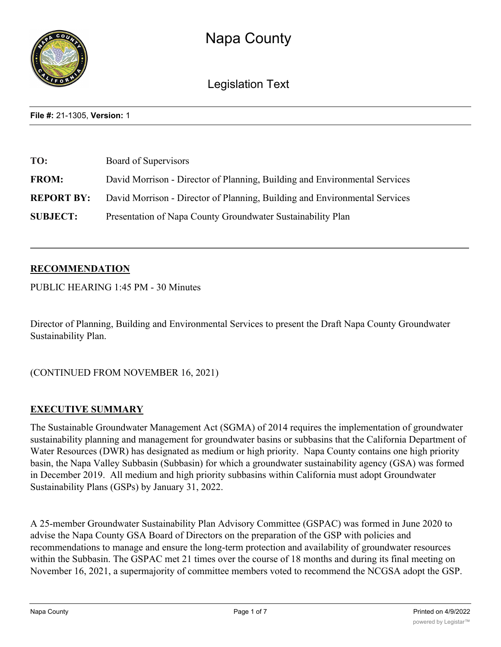

Legislation Text

**File #:** 21-1305, **Version:** 1

| TO:               | Board of Supervisors                                                       |
|-------------------|----------------------------------------------------------------------------|
| <b>FROM:</b>      | David Morrison - Director of Planning, Building and Environmental Services |
| <b>REPORT BY:</b> | David Morrison - Director of Planning, Building and Environmental Services |
| <b>SUBJECT:</b>   | Presentation of Napa County Groundwater Sustainability Plan                |

## **RECOMMENDATION**

PUBLIC HEARING 1:45 PM - 30 Minutes

Director of Planning, Building and Environmental Services to present the Draft Napa County Groundwater Sustainability Plan.

(CONTINUED FROM NOVEMBER 16, 2021)

### **EXECUTIVE SUMMARY**

The Sustainable Groundwater Management Act (SGMA) of 2014 requires the implementation of groundwater sustainability planning and management for groundwater basins or subbasins that the California Department of Water Resources (DWR) has designated as medium or high priority. Napa County contains one high priority basin, the Napa Valley Subbasin (Subbasin) for which a groundwater sustainability agency (GSA) was formed in December 2019. All medium and high priority subbasins within California must adopt Groundwater Sustainability Plans (GSPs) by January 31, 2022.

A 25-member Groundwater Sustainability Plan Advisory Committee (GSPAC) was formed in June 2020 to advise the Napa County GSA Board of Directors on the preparation of the GSP with policies and recommendations to manage and ensure the long-term protection and availability of groundwater resources within the Subbasin. The GSPAC met 21 times over the course of 18 months and during its final meeting on November 16, 2021, a supermajority of committee members voted to recommend the NCGSA adopt the GSP.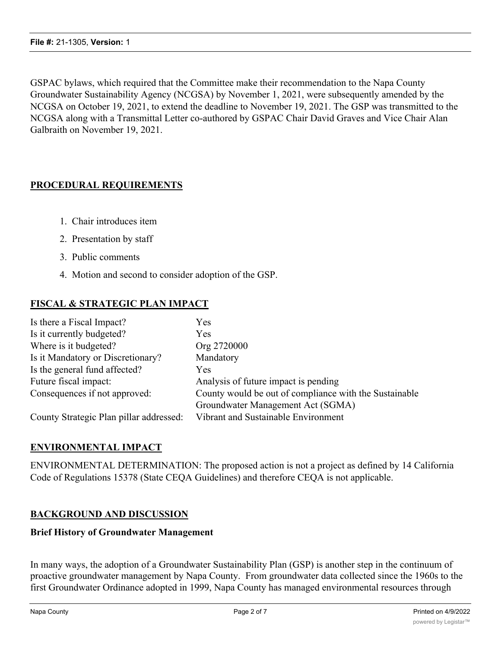GSPAC bylaws, which required that the Committee make their recommendation to the Napa County Groundwater Sustainability Agency (NCGSA) by November 1, 2021, were subsequently amended by the NCGSA on October 19, 2021, to extend the deadline to November 19, 2021. The GSP was transmitted to the NCGSA along with a Transmittal Letter co-authored by GSPAC Chair David Graves and Vice Chair Alan Galbraith on November 19, 2021.

# **PROCEDURAL REQUIREMENTS**

- 1. Chair introduces item
- 2. Presentation by staff
- 3. Public comments
- 4. Motion and second to consider adoption of the GSP.

# **FISCAL & STRATEGIC PLAN IMPACT**

| Is there a Fiscal Impact?               | Yes                                                    |
|-----------------------------------------|--------------------------------------------------------|
| Is it currently budgeted?               | Yes                                                    |
| Where is it budgeted?                   | Org 2720000                                            |
| Is it Mandatory or Discretionary?       | Mandatory                                              |
| Is the general fund affected?           | Yes                                                    |
| Future fiscal impact:                   | Analysis of future impact is pending                   |
| Consequences if not approved:           | County would be out of compliance with the Sustainable |
|                                         | Groundwater Management Act (SGMA)                      |
| County Strategic Plan pillar addressed: | Vibrant and Sustainable Environment                    |

# **ENVIRONMENTAL IMPACT**

ENVIRONMENTAL DETERMINATION: The proposed action is not a project as defined by 14 California Code of Regulations 15378 (State CEQA Guidelines) and therefore CEQA is not applicable.

# **BACKGROUND AND DISCUSSION**

### **Brief History of Groundwater Management**

In many ways, the adoption of a Groundwater Sustainability Plan (GSP) is another step in the continuum of proactive groundwater management by Napa County. From groundwater data collected since the 1960s to the first Groundwater Ordinance adopted in 1999, Napa County has managed environmental resources through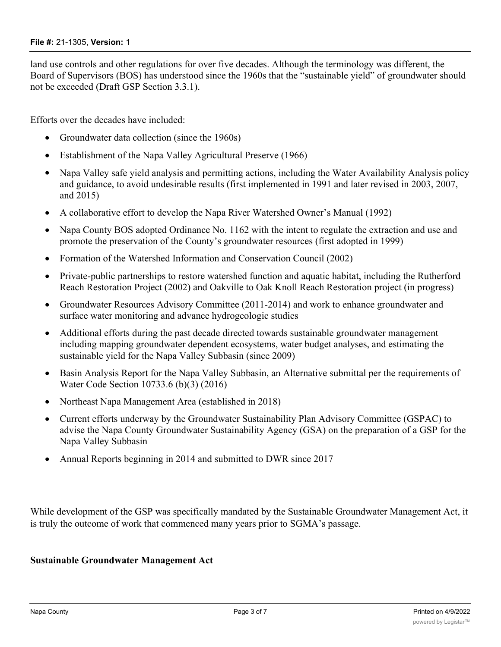#### **File #:** 21-1305, **Version:** 1

land use controls and other regulations for over five decades. Although the terminology was different, the Board of Supervisors (BOS) has understood since the 1960s that the "sustainable yield" of groundwater should not be exceeded (Draft GSP Section 3.3.1).

Efforts over the decades have included:

- Groundwater data collection (since the 1960s)
- Establishment of the Napa Valley Agricultural Preserve (1966)
- Napa Valley safe yield analysis and permitting actions, including the Water Availability Analysis policy and guidance, to avoid undesirable results (first implemented in 1991 and later revised in 2003, 2007, and 2015)
- · A collaborative effort to develop the Napa River Watershed Owner's Manual (1992)
- Napa County BOS adopted Ordinance No. 1162 with the intent to regulate the extraction and use and promote the preservation of the County's groundwater resources (first adopted in 1999)
- Formation of the Watershed Information and Conservation Council (2002)
- Private-public partnerships to restore watershed function and aquatic habitat, including the Rutherford Reach Restoration Project (2002) and Oakville to Oak Knoll Reach Restoration project (in progress)
- · Groundwater Resources Advisory Committee (2011-2014) and work to enhance groundwater and surface water monitoring and advance hydrogeologic studies
- Additional efforts during the past decade directed towards sustainable groundwater management including mapping groundwater dependent ecosystems, water budget analyses, and estimating the sustainable yield for the Napa Valley Subbasin (since 2009)
- · Basin Analysis Report for the Napa Valley Subbasin, an Alternative submittal per the requirements of Water Code Section 10733.6 (b)(3) (2016)
- Northeast Napa Management Area (established in 2018)
- · Current efforts underway by the Groundwater Sustainability Plan Advisory Committee (GSPAC) to advise the Napa County Groundwater Sustainability Agency (GSA) on the preparation of a GSP for the Napa Valley Subbasin
- Annual Reports beginning in 2014 and submitted to DWR since 2017

While development of the GSP was specifically mandated by the Sustainable Groundwater Management Act, it is truly the outcome of work that commenced many years prior to SGMA's passage.

### **Sustainable Groundwater Management Act**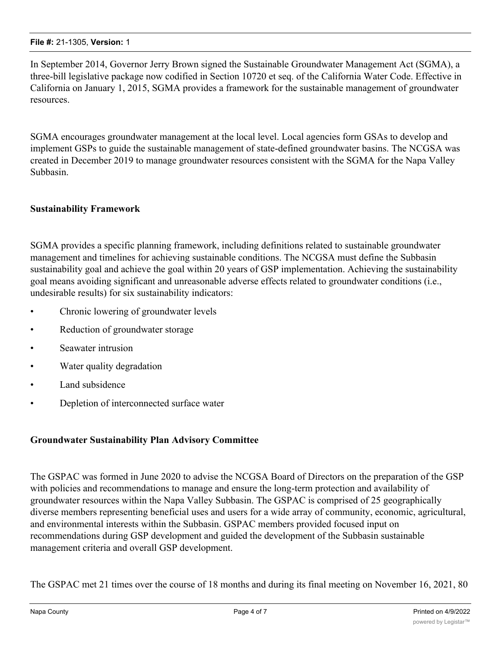In September 2014, Governor Jerry Brown signed the Sustainable Groundwater Management Act (SGMA), a three-bill legislative package now codified in Section 10720 et seq. of the California Water Code. Effective in California on January 1, 2015, SGMA provides a framework for the sustainable management of groundwater resources.

SGMA encourages groundwater management at the local level. Local agencies form GSAs to develop and implement GSPs to guide the sustainable management of state-defined groundwater basins. The NCGSA was created in December 2019 to manage groundwater resources consistent with the SGMA for the Napa Valley Subbasin.

## **Sustainability Framework**

SGMA provides a specific planning framework, including definitions related to sustainable groundwater management and timelines for achieving sustainable conditions. The NCGSA must define the Subbasin sustainability goal and achieve the goal within 20 years of GSP implementation. Achieving the sustainability goal means avoiding significant and unreasonable adverse effects related to groundwater conditions (i.e., undesirable results) for six sustainability indicators:

- Chronic lowering of groundwater levels
- Reduction of groundwater storage
- Seawater intrusion
- Water quality degradation
- Land subsidence
- Depletion of interconnected surface water

### **Groundwater Sustainability Plan Advisory Committee**

The GSPAC was formed in June 2020 to advise the NCGSA Board of Directors on the preparation of the GSP with policies and recommendations to manage and ensure the long-term protection and availability of groundwater resources within the Napa Valley Subbasin. The GSPAC is comprised of 25 geographically diverse members representing beneficial uses and users for a wide array of community, economic, agricultural, and environmental interests within the Subbasin. GSPAC members provided focused input on recommendations during GSP development and guided the development of the Subbasin sustainable management criteria and overall GSP development.

The GSPAC met 21 times over the course of 18 months and during its final meeting on November 16, 2021, 80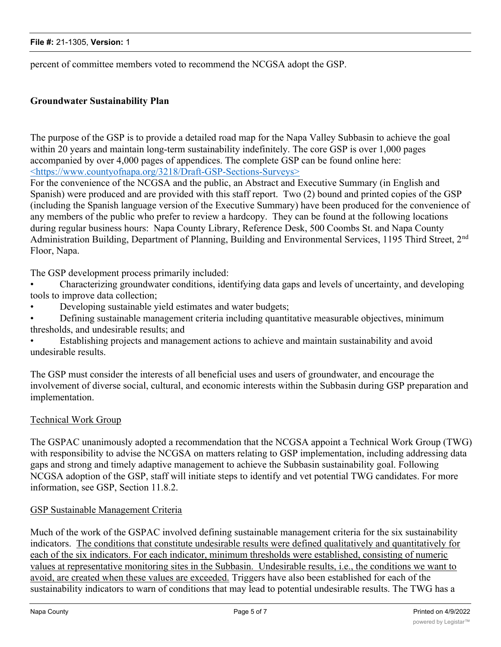percent of committee members voted to recommend the NCGSA adopt the GSP.

### **Groundwater Sustainability Plan**

The purpose of the GSP is to provide a detailed road map for the Napa Valley Subbasin to achieve the goal within 20 years and maintain long-term sustainability indefinitely. The core GSP is over 1,000 pages accompanied by over 4,000 pages of appendices. The complete GSP can be found online here: <https://www.countyofnapa.org/3218/Draft-GSP-Sections-Surveys>

For the convenience of the NCGSA and the public, an Abstract and Executive Summary (in English and Spanish) were produced and are provided with this staff report. Two (2) bound and printed copies of the GSP (including the Spanish language version of the Executive Summary) have been produced for the convenience of any members of the public who prefer to review a hardcopy. They can be found at the following locations during regular business hours: Napa County Library, Reference Desk, 500 Coombs St. and Napa County Administration Building, Department of Planning, Building and Environmental Services, 1195 Third Street, 2<sup>nd</sup> Floor, Napa.

The GSP development process primarily included:

• Characterizing groundwater conditions, identifying data gaps and levels of uncertainty, and developing tools to improve data collection;

- Developing sustainable yield estimates and water budgets;
- Defining sustainable management criteria including quantitative measurable objectives, minimum thresholds, and undesirable results; and

• Establishing projects and management actions to achieve and maintain sustainability and avoid undesirable results.

The GSP must consider the interests of all beneficial uses and users of groundwater, and encourage the involvement of diverse social, cultural, and economic interests within the Subbasin during GSP preparation and implementation.

## Technical Work Group

The GSPAC unanimously adopted a recommendation that the NCGSA appoint a Technical Work Group (TWG) with responsibility to advise the NCGSA on matters relating to GSP implementation, including addressing data gaps and strong and timely adaptive management to achieve the Subbasin sustainability goal. Following NCGSA adoption of the GSP, staff will initiate steps to identify and vet potential TWG candidates. For more information, see GSP, Section 11.8.2.

### GSP Sustainable Management Criteria

Much of the work of the GSPAC involved defining sustainable management criteria for the six sustainability indicators. The conditions that constitute undesirable results were defined qualitatively and quantitatively for each of the six indicators. For each indicator, minimum thresholds were established, consisting of numeric values at representative monitoring sites in the Subbasin. Undesirable results, i.e., the conditions we want to avoid, are created when these values are exceeded. Triggers have also been established for each of the sustainability indicators to warn of conditions that may lead to potential undesirable results. The TWG has a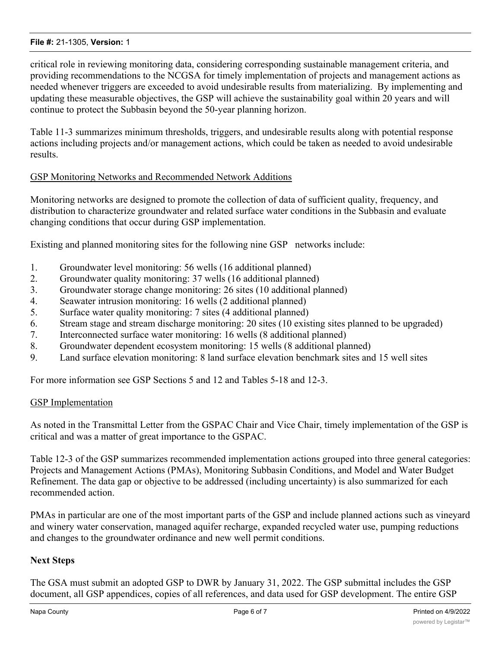#### **File #:** 21-1305, **Version:** 1

critical role in reviewing monitoring data, considering corresponding sustainable management criteria, and providing recommendations to the NCGSA for timely implementation of projects and management actions as needed whenever triggers are exceeded to avoid undesirable results from materializing. By implementing and updating these measurable objectives, the GSP will achieve the sustainability goal within 20 years and will continue to protect the Subbasin beyond the 50-year planning horizon.

Table 11-3 summarizes minimum thresholds, triggers, and undesirable results along with potential response actions including projects and/or management actions, which could be taken as needed to avoid undesirable results.

### GSP Monitoring Networks and Recommended Network Additions

Monitoring networks are designed to promote the collection of data of sufficient quality, frequency, and distribution to characterize groundwater and related surface water conditions in the Subbasin and evaluate changing conditions that occur during GSP implementation.

Existing and planned monitoring sites for the following nine GSP networks include:

- 1. Groundwater level monitoring: 56 wells (16 additional planned)
- 2. Groundwater quality monitoring: 37 wells (16 additional planned)
- 3. Groundwater storage change monitoring: 26 sites (10 additional planned)
- 4. Seawater intrusion monitoring: 16 wells (2 additional planned)
- 5. Surface water quality monitoring: 7 sites (4 additional planned)
- 6. Stream stage and stream discharge monitoring: 20 sites (10 existing sites planned to be upgraded)
- 7. Interconnected surface water monitoring: 16 wells (8 additional planned)
- 8. Groundwater dependent ecosystem monitoring: 15 wells (8 additional planned)
- 9. Land surface elevation monitoring: 8 land surface elevation benchmark sites and 15 well sites

For more information see GSP Sections 5 and 12 and Tables 5-18 and 12-3.

#### GSP Implementation

As noted in the Transmittal Letter from the GSPAC Chair and Vice Chair, timely implementation of the GSP is critical and was a matter of great importance to the GSPAC.

Table 12-3 of the GSP summarizes recommended implementation actions grouped into three general categories: Projects and Management Actions (PMAs), Monitoring Subbasin Conditions, and Model and Water Budget Refinement. The data gap or objective to be addressed (including uncertainty) is also summarized for each recommended action.

PMAs in particular are one of the most important parts of the GSP and include planned actions such as vineyard and winery water conservation, managed aquifer recharge, expanded recycled water use, pumping reductions and changes to the groundwater ordinance and new well permit conditions.

### **Next Steps**

The GSA must submit an adopted GSP to DWR by January 31, 2022. The GSP submittal includes the GSP document, all GSP appendices, copies of all references, and data used for GSP development. The entire GSP